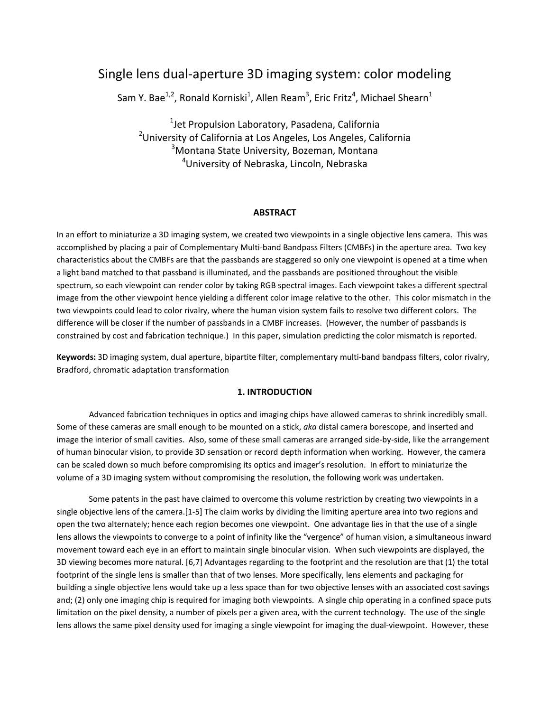# Single lens dual‐aperture 3D imaging system: color modeling

Sam Y. Bae $^{1,2}$ , Ronald Korniski $^1$ , Allen Ream $^3$ , Eric Fritz $^4$ , Michael Shearn $^1$ 

<sup>1</sup>Jet Propulsion Laboratory, Pasadena, California <sup>2</sup>University of California at Los Angeles, Los Angeles, California <sup>3</sup>Montana State University, Bozeman, Montana 4 University of Nebraska, Lincoln, Nebraska

### **ABSTRACT**

In an effort to miniaturize a 3D imaging system, we created two viewpoints in a single objective lens camera. This was accomplished by placing a pair of Complementary Multi‐band Bandpass Filters (CMBFs) in the aperture area. Two key characteristics about the CMBFs are that the passbands are staggered so only one viewpoint is opened at a time when a light band matched to that passband is illuminated, and the passbands are positioned throughout the visible spectrum, so each viewpoint can render color by taking RGB spectral images. Each viewpoint takes a different spectral image from the other viewpoint hence yielding a different color image relative to the other. This color mismatch in the two viewpoints could lead to color rivalry, where the human vision system fails to resolve two different colors. The difference will be closer if the number of passbands in a CMBF increases. (However, the number of passbands is constrained by cost and fabrication technique.) In this paper, simulation predicting the color mismatch is reported.

**Keywords:** 3D imaging system, dual aperture, bipartite filter, complementary multi‐band bandpass filters, color rivalry, Bradford, chromatic adaptation transformation

### **1. INTRODUCTION**

Advanced fabrication techniques in optics and imaging chips have allowed cameras to shrink incredibly small. Some of these cameras are small enough to be mounted on a stick, *aka* distal camera borescope, and inserted and image the interior of small cavities. Also, some of these small cameras are arranged side‐by‐side, like the arrangement of human binocular vision, to provide 3D sensation or record depth information when working. However, the camera can be scaled down so much before compromising its optics and imager's resolution. In effort to miniaturize the volume of a 3D imaging system without compromising the resolution, the following work was undertaken.

Some patents in the past have claimed to overcome this volume restriction by creating two viewpoints in a single objective lens of the camera.[1‐5] The claim works by dividing the limiting aperture area into two regions and open the two alternately; hence each region becomes one viewpoint. One advantage lies in that the use of a single lens allows the viewpoints to converge to a point of infinity like the "vergence" of human vision, a simultaneous inward movement toward each eye in an effort to maintain single binocular vision. When such viewpoints are displayed, the 3D viewing becomes more natural. [6,7] Advantages regarding to the footprint and the resolution are that (1) the total footprint of the single lens is smaller than that of two lenses. More specifically, lens elements and packaging for building a single objective lens would take up a less space than for two objective lenses with an associated cost savings and; (2) only one imaging chip is required for imaging both viewpoints. A single chip operating in a confined space puts limitation on the pixel density, a number of pixels per a given area, with the current technology. The use of the single lens allows the same pixel density used for imaging a single viewpoint for imaging the dual‐viewpoint. However, these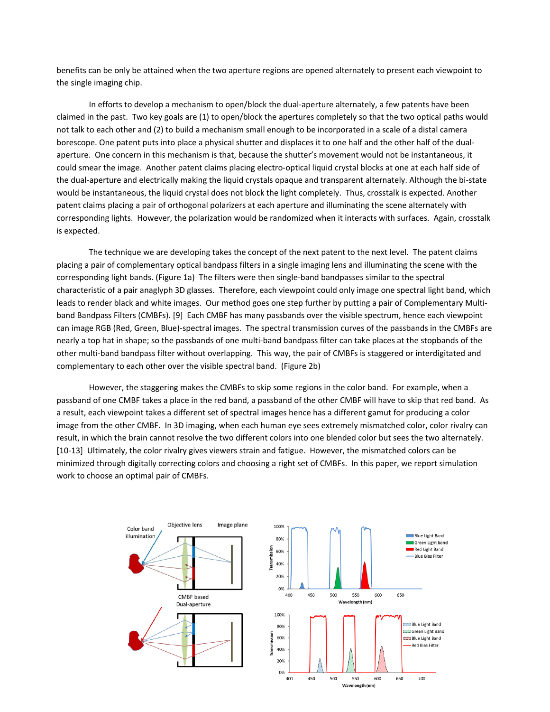benefits can be only be attained when the two aperture regions are opened alternately to present each viewpoint to the single imaging chip.

In efforts to develop a mechanism to open/block the dual-aperture alternately, a few patents have been claimed in the past. Two key goals are (1) to open/block the apertures completely so that the two optical paths would not talk to each other and (2) to build a mechanism small enough to be incorporated in a scale of a distal camera borescope. One patent puts into place a physical shutter and displaces it to one half and the other half of the dualaperture. One concern in this mechanism is that, because the shutter's movement would not be instantaneous, it could smear the image. Another patent claims placing electro-optical liquid crystal blocks at one at each half side of the dual‐aperture and electrically making the liquid crystals opaque and transparent alternately. Although the bi‐state would be instantaneous, the liquid crystal does not block the light completely. Thus, crosstalk is expected. Another patent claims placing a pair of orthogonal polarizers at each aperture and illuminating the scene alternately with corresponding lights. However, the polarization would be randomized when it interacts with surfaces. Again, crosstalk is expected.

The technique we are developing takes the concept of the next patent to the next level. The patent claims placing a pair of complementary optical bandpass filters in a single imaging lens and illuminating the scene with the corresponding light bands. (Figure 1a) The filters were then single‐band bandpasses similar to the spectral characteristic of a pair anaglyph 3D glasses. Therefore, each viewpoint could only image one spectral light band, which leads to render black and white images. Our method goes one step further by putting a pair of Complementary Multiband Bandpass Filters (CMBFs). [9] Each CMBF has many passbands over the visible spectrum, hence each viewpoint can image RGB (Red, Green, Blue)‐spectral images. The spectral transmission curves of the passbands in the CMBFs are nearly a top hat in shape; so the passbands of one multi-band bandpass filter can take places at the stopbands of the other multi‐band bandpass filter without overlapping. This way, the pair of CMBFs is staggered or interdigitated and complementary to each other over the visible spectral band. (Figure 2b)

However, the staggering makes the CMBFs to skip some regions in the color band. For example, when a passband of one CMBF takes a place in the red band, a passband of the other CMBF will have to skip that red band. As a result, each viewpoint takes a different set of spectral images hence has a different gamut for producing a color image from the other CMBF. In 3D imaging, when each human eye sees extremely mismatched color, color rivalry can result, in which the brain cannot resolve the two different colors into one blended color but sees the two alternately. [10‐13] Ultimately, the color rivalry gives viewers strain and fatigue. However, the mismatched colors can be minimized through digitally correcting colors and choosing a right set of CMBFs. In this paper, we report simulation work to choose an optimal pair of CMBFs.

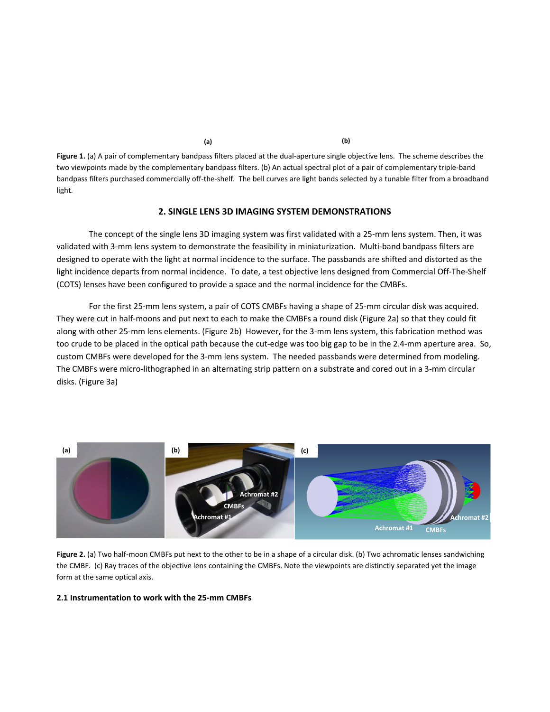**Figure 1.** (a) A pair of complementary bandpass filters placed at the dual-aperture single objective lens. The scheme describes the two viewpoints made by the complementary bandpass filters. (b) An actual spectral plot of a pair of complementary triple‐band bandpass filters purchased commercially off‐the‐shelf. The bell curves are light bands selected by a tunable filter from a broadband light.

#### **2. SINGLE LENS 3D IMAGING SYSTEM DEMONSTRATIONS**

The concept of the single lens 3D imaging system was first validated with a 25-mm lens system. Then, it was validated with 3-mm lens system to demonstrate the feasibility in miniaturization. Multi-band bandpass filters are designed to operate with the light at normal incidence to the surface. The passbands are shifted and distorted as the light incidence departs from normal incidence. To date, a test objective lens designed from Commercial Off‐The‐Shelf (COTS) lenses have been configured to provide a space and the normal incidence for the CMBFs.

For the first 25-mm lens system, a pair of COTS CMBFs having a shape of 25-mm circular disk was acquired. They were cut in half-moons and put next to each to make the CMBFs a round disk (Figure 2a) so that they could fit along with other 25-mm lens elements. (Figure 2b) However, for the 3-mm lens system, this fabrication method was too crude to be placed in the optical path because the cut-edge was too big gap to be in the 2.4-mm aperture area. So, custom CMBFs were developed for the 3‐mm lens system. The needed passbands were determined from modeling. The CMBFs were micro-lithographed in an alternating strip pattern on a substrate and cored out in a 3-mm circular disks. (Figure 3a)



**Figure 2.** (a) Two half‐moon CMBFs put next to the other to be in a shape of a circular disk. (b) Two achromatic lenses sandwiching the CMBF. (c) Ray traces of the objective lens containing the CMBFs. Note the viewpoints are distinctly separated yet the image form at the same optical axis.

#### **2.1 Instrumentation to work with the 25‐mm CMBFs**

**(a) (b)**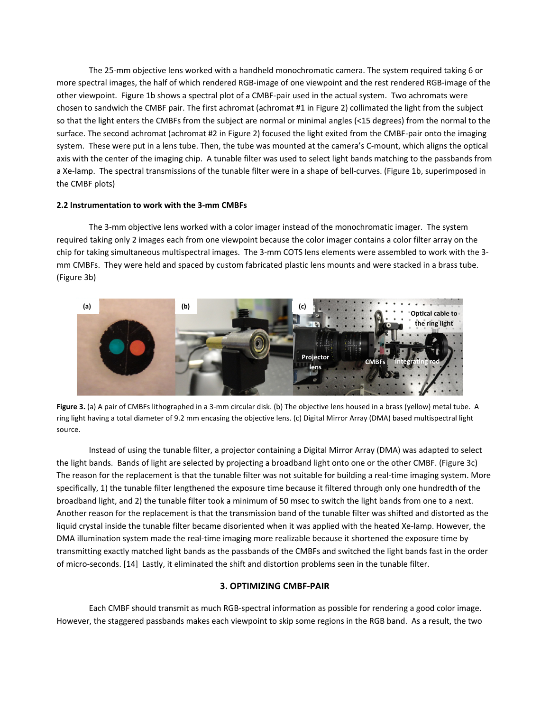The 25-mm objective lens worked with a handheld monochromatic camera. The system required taking 6 or more spectral images, the half of which rendered RGB‐image of one viewpoint and the rest rendered RGB‐image of the other viewpoint. Figure 1b shows a spectral plot of a CMBF‐pair used in the actual system. Two achromats were chosen to sandwich the CMBF pair. The first achromat (achromat #1 in Figure 2) collimated the light from the subject so that the light enters the CMBFs from the subject are normal or minimal angles (<15 degrees) from the normal to the surface. The second achromat (achromat #2 in Figure 2) focused the light exited from the CMBF-pair onto the imaging system. These were put in a lens tube. Then, the tube was mounted at the camera's C-mount, which aligns the optical axis with the center of the imaging chip. A tunable filter was used to select light bands matching to the passbands from a Xe-lamp. The spectral transmissions of the tunable filter were in a shape of bell-curves. (Figure 1b, superimposed in the CMBF plots)

### **2.2 Instrumentation to work with the 3‐mm CMBFs**

The 3-mm objective lens worked with a color imager instead of the monochromatic imager. The system required taking only 2 images each from one viewpoint because the color imager contains a color filter array on the chip for taking simultaneous multispectral images. The 3-mm COTS lens elements were assembled to work with the 3mm CMBFs. They were held and spaced by custom fabricated plastic lens mounts and were stacked in a brass tube. (Figure 3b)





Instead of using the tunable filter, a projector containing a Digital Mirror Array (DMA) was adapted to select the light bands. Bands of light are selected by projecting a broadband light onto one or the other CMBF. (Figure 3c) The reason for the replacement is that the tunable filter was not suitable for building a real‐time imaging system. More specifically, 1) the tunable filter lengthened the exposure time because it filtered through only one hundredth of the broadband light, and 2) the tunable filter took a minimum of 50 msec to switch the light bands from one to a next. Another reason for the replacement is that the transmission band of the tunable filter was shifted and distorted as the liquid crystal inside the tunable filter became disoriented when it was applied with the heated Xe‐lamp. However, the DMA illumination system made the real‐time imaging more realizable because it shortened the exposure time by transmitting exactly matched light bands as the passbands of the CMBFs and switched the light bands fast in the order of micro‐seconds. [14] Lastly, it eliminated the shift and distortion problems seen in the tunable filter.

### **3. OPTIMIZING CMBF‐PAIR**

Each CMBF should transmit as much RGB‐spectral information as possible for rendering a good color image. However, the staggered passbands makes each viewpoint to skip some regions in the RGB band. As a result, the two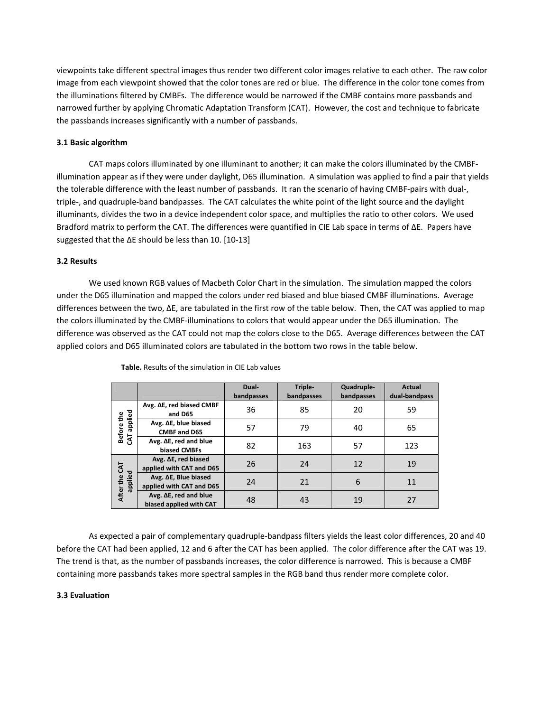viewpoints take different spectral images thus render two different color images relative to each other. The raw color image from each viewpoint showed that the color tones are red or blue. The difference in the color tone comes from the illuminations filtered by CMBFs. The difference would be narrowed if the CMBF contains more passbands and narrowed further by applying Chromatic Adaptation Transform (CAT). However, the cost and technique to fabricate the passbands increases significantly with a number of passbands.

## **3.1 Basic algorithm**

CAT maps colors illuminated by one illuminant to another; it can make the colors illuminated by the CMBF‐ illumination appear as if they were under daylight, D65 illumination. A simulation was applied to find a pair that yields the tolerable difference with the least number of passbands. It ran the scenario of having CMBF‐pairs with dual‐, triple‐, and quadruple‐band bandpasses. The CAT calculates the white point of the light source and the daylight illuminants, divides the two in a device independent color space, and multiplies the ratio to other colors. We used Bradford matrix to perform the CAT. The differences were quantified in CIE Lab space in terms of ∆E. Papers have suggested that the ∆E should be less than 10. [10‐13]

### **3.2 Results**

We used known RGB values of Macbeth Color Chart in the simulation. The simulation mapped the colors under the D65 illumination and mapped the colors under red biased and blue biased CMBF illuminations. Average differences between the two, ∆E, are tabulated in the first row of the table below. Then, the CAT was applied to map the colors illuminated by the CMBF‐illuminations to colors that would appear under the D65 illumination. The difference was observed as the CAT could not map the colors close to the D65. Average differences between the CAT applied colors and D65 illuminated colors are tabulated in the bottom two rows in the table below.

|                                        |                                                           | Dual-<br>bandpasses | Triple-<br>bandpasses | Quadruple-<br>bandpasses | <b>Actual</b><br>dual-bandpass |
|----------------------------------------|-----------------------------------------------------------|---------------------|-----------------------|--------------------------|--------------------------------|
| pplied<br>Before the<br>൹<br><b>IS</b> | Avg. ΔE, red biased CMBF<br>and D65                       | 36                  | 85                    | 20                       | 59                             |
|                                        | Avg. ΔE, blue biased<br><b>CMBF and D65</b>               | 57                  | 79                    | 40                       | 65                             |
|                                        | Avg. $\Delta E$ , red and blue<br>biased CMBFs            | 82                  | 163                   | 57                       | 123                            |
| After the CAT<br>applied               | Avg. ΔE, red biased<br>applied with CAT and D65           | 26                  | 24                    | 12                       | 19                             |
|                                        | Avg. ΔE, Blue biased<br>applied with CAT and D65          | 24                  | 21                    | 6                        | 11                             |
|                                        | Avg. $\Delta E$ , red and blue<br>biased applied with CAT | 48                  | 43                    | 19                       | 27                             |

**Table.** Results of the simulation in CIE Lab values

As expected a pair of complementary quadruple‐bandpass filters yields the least color differences, 20 and 40 before the CAT had been applied, 12 and 6 after the CAT has been applied. The color difference after the CAT was 19. The trend is that, as the number of passbands increases, the color difference is narrowed. This is because a CMBF containing more passbands takes more spectral samples in the RGB band thus render more complete color.

#### **3.3 Evaluation**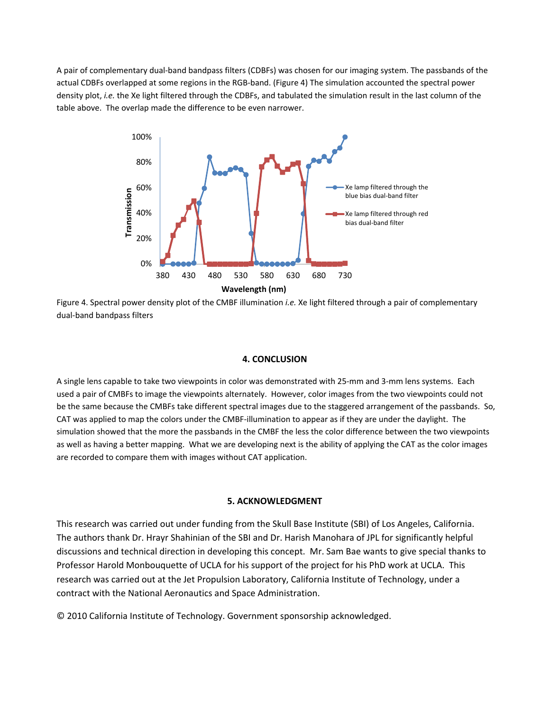A pair of complementary dual‐band bandpass filters (CDBFs) was chosen for our imaging system. The passbands of the actual CDBFs overlapped at some regions in the RGB‐band. (Figure 4) The simulation accounted the spectral power density plot, *i.e.* the Xe light filtered through the CDBFs, and tabulated the simulation result in the last column of the table above. The overlap made the difference to be even narrower.



Figure 4. Spectral power density plot of the CMBF illumination *i.e.* Xe light filtered through a pair of complementary dual‐band bandpass filters

### **4. CONCLUSION**

A single lens capable to take two viewpoints in color was demonstrated with 25‐mm and 3‐mm lens systems. Each used a pair of CMBFs to image the viewpoints alternately. However, color images from the two viewpoints could not be the same because the CMBFs take different spectral images due to the staggered arrangement of the passbands. So, CAT was applied to map the colors under the CMBF‐illumination to appear as if they are under the daylight. The simulation showed that the more the passbands in the CMBF the less the color difference between the two viewpoints as well as having a better mapping. What we are developing next is the ability of applying the CAT as the color images are recorded to compare them with images without CAT application.

#### **5. ACKNOWLEDGMENT**

This research was carried out under funding from the Skull Base Institute (SBI) of Los Angeles, California. The authors thank Dr. Hrayr Shahinian of the SBI and Dr. Harish Manohara of JPL for significantly helpful discussions and technical direction in developing this concept. Mr. Sam Bae wants to give special thanks to Professor Harold Monbouquette of UCLA for his support of the project for his PhD work at UCLA. This research was carried out at the Jet Propulsion Laboratory, California Institute of Technology, under a contract with the National Aeronautics and Space Administration.

© 2010 California Institute of Technology. Government sponsorship acknowledged.